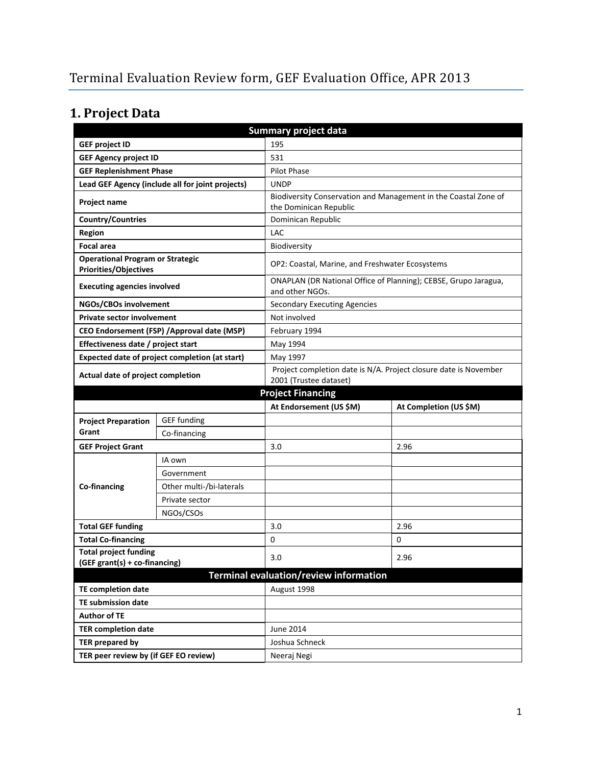# **1. Project Data**

| Summary project data                                                    |                                                |                                                                  |                                                                 |  |
|-------------------------------------------------------------------------|------------------------------------------------|------------------------------------------------------------------|-----------------------------------------------------------------|--|
| <b>GEF project ID</b>                                                   |                                                | 195                                                              |                                                                 |  |
| <b>GEF Agency project ID</b><br>531                                     |                                                |                                                                  |                                                                 |  |
| <b>GEF Replenishment Phase</b>                                          |                                                | <b>Pilot Phase</b>                                               |                                                                 |  |
| Lead GEF Agency (include all for joint projects)                        |                                                | <b>UNDP</b>                                                      |                                                                 |  |
| Project name                                                            |                                                |                                                                  | Biodiversity Conservation and Management in the Coastal Zone of |  |
|                                                                         |                                                | the Dominican Republic                                           |                                                                 |  |
| <b>Country/Countries</b>                                                |                                                | Dominican Republic                                               |                                                                 |  |
| <b>Region</b>                                                           |                                                | LAC                                                              |                                                                 |  |
| <b>Focal area</b>                                                       |                                                | Biodiversity                                                     |                                                                 |  |
| <b>Operational Program or Strategic</b><br><b>Priorities/Objectives</b> |                                                | OP2: Coastal, Marine, and Freshwater Ecosystems                  |                                                                 |  |
| <b>Executing agencies involved</b>                                      |                                                | and other NGOs.                                                  | ONAPLAN (DR National Office of Planning); CEBSE, Grupo Jaragua, |  |
| NGOs/CBOs involvement                                                   |                                                | <b>Secondary Executing Agencies</b>                              |                                                                 |  |
| <b>Private sector involvement</b>                                       |                                                | Not involved                                                     |                                                                 |  |
|                                                                         | CEO Endorsement (FSP) / Approval date (MSP)    | February 1994                                                    |                                                                 |  |
| Effectiveness date / project start                                      |                                                | May 1994                                                         |                                                                 |  |
|                                                                         | Expected date of project completion (at start) | May 1997                                                         |                                                                 |  |
| Actual date of project completion                                       |                                                | Project completion date is N/A. Project closure date is November |                                                                 |  |
|                                                                         |                                                | 2001 (Trustee dataset)                                           |                                                                 |  |
| <b>Project Financing</b>                                                |                                                |                                                                  |                                                                 |  |
|                                                                         |                                                |                                                                  |                                                                 |  |
|                                                                         |                                                | At Endorsement (US \$M)                                          | At Completion (US \$M)                                          |  |
| <b>Project Preparation</b>                                              | <b>GEF</b> funding                             |                                                                  |                                                                 |  |
| Grant                                                                   | Co-financing                                   |                                                                  |                                                                 |  |
| <b>GEF Project Grant</b>                                                |                                                | 3.0                                                              | 2.96                                                            |  |
|                                                                         | IA own                                         |                                                                  |                                                                 |  |
|                                                                         | Government                                     |                                                                  |                                                                 |  |
| Co-financing                                                            | Other multi-/bi-laterals                       |                                                                  |                                                                 |  |
|                                                                         | Private sector                                 |                                                                  |                                                                 |  |
|                                                                         | NGOs/CSOs                                      |                                                                  |                                                                 |  |
| <b>Total GEF funding</b>                                                |                                                | 3.0                                                              | 2.96                                                            |  |
| <b>Total Co-financing</b>                                               |                                                | 0                                                                | 0                                                               |  |
| <b>Total project funding</b>                                            |                                                |                                                                  |                                                                 |  |
| (GEF grant(s) + co-financing)                                           |                                                | 3.0                                                              | 2.96                                                            |  |
|                                                                         |                                                | Terminal evaluation/review information                           |                                                                 |  |
| <b>TE completion date</b>                                               |                                                | August 1998                                                      |                                                                 |  |
| <b>TE submission date</b>                                               |                                                |                                                                  |                                                                 |  |
| <b>Author of TE</b>                                                     |                                                |                                                                  |                                                                 |  |
| <b>TER completion date</b>                                              |                                                | June 2014                                                        |                                                                 |  |
| <b>TER prepared by</b>                                                  |                                                | Joshua Schneck                                                   |                                                                 |  |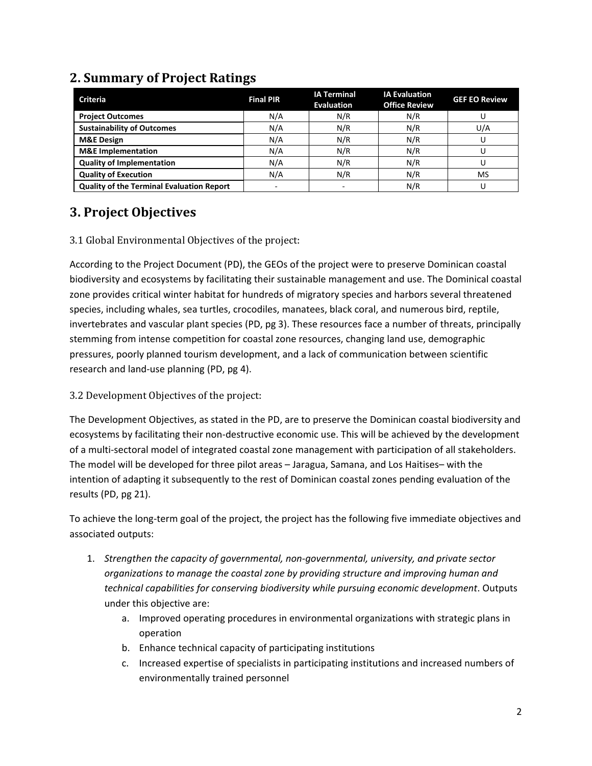| <b>Criteria</b>                           | <b>Final PIR</b>         | <b>IA Terminal</b><br><b>Evaluation</b> | <b>IA Evaluation</b><br><b>Office Review</b> | <b>GEF EO Review</b> |
|-------------------------------------------|--------------------------|-----------------------------------------|----------------------------------------------|----------------------|
| <b>Project Outcomes</b>                   | N/A                      | N/R                                     | N/R                                          |                      |
| <b>Sustainability of Outcomes</b>         | N/A                      | N/R                                     | N/R                                          | U/A                  |
| <b>M&amp;E Design</b>                     | N/A                      | N/R                                     | N/R                                          |                      |
| <b>M&amp;E</b> Implementation             | N/A                      | N/R                                     | N/R                                          |                      |
| <b>Quality of Implementation</b>          | N/A                      | N/R                                     | N/R                                          |                      |
| <b>Quality of Execution</b>               | N/A                      | N/R                                     | N/R                                          | MS                   |
| Quality of the Terminal Evaluation Report | $\overline{\phantom{a}}$ |                                         | N/R                                          |                      |

# **2. Summary of Project Ratings**

# **3. Project Objectives**

#### 3.1 Global Environmental Objectives of the project:

According to the Project Document (PD), the GEOs of the project were to preserve Dominican coastal biodiversity and ecosystems by facilitating their sustainable management and use. The Dominical coastal zone provides critical winter habitat for hundreds of migratory species and harbors several threatened species, including whales, sea turtles, crocodiles, manatees, black coral, and numerous bird, reptile, invertebrates and vascular plant species (PD, pg 3). These resources face a number of threats, principally stemming from intense competition for coastal zone resources, changing land use, demographic pressures, poorly planned tourism development, and a lack of communication between scientific research and land-use planning (PD, pg 4).

#### 3.2 Development Objectives of the project:

The Development Objectives, as stated in the PD, are to preserve the Dominican coastal biodiversity and ecosystems by facilitating their non-destructive economic use. This will be achieved by the development of a multi-sectoral model of integrated coastal zone management with participation of all stakeholders. The model will be developed for three pilot areas – Jaragua, Samana, and Los Haitises– with the intention of adapting it subsequently to the rest of Dominican coastal zones pending evaluation of the results (PD, pg 21).

To achieve the long-term goal of the project, the project has the following five immediate objectives and associated outputs:

- 1. *Strengthen the capacity of governmental, non-governmental, university, and private sector organizations to manage the coastal zone by providing structure and improving human and technical capabilities for conserving biodiversity while pursuing economic development*. Outputs under this objective are:
	- a. Improved operating procedures in environmental organizations with strategic plans in operation
	- b. Enhance technical capacity of participating institutions
	- c. Increased expertise of specialists in participating institutions and increased numbers of environmentally trained personnel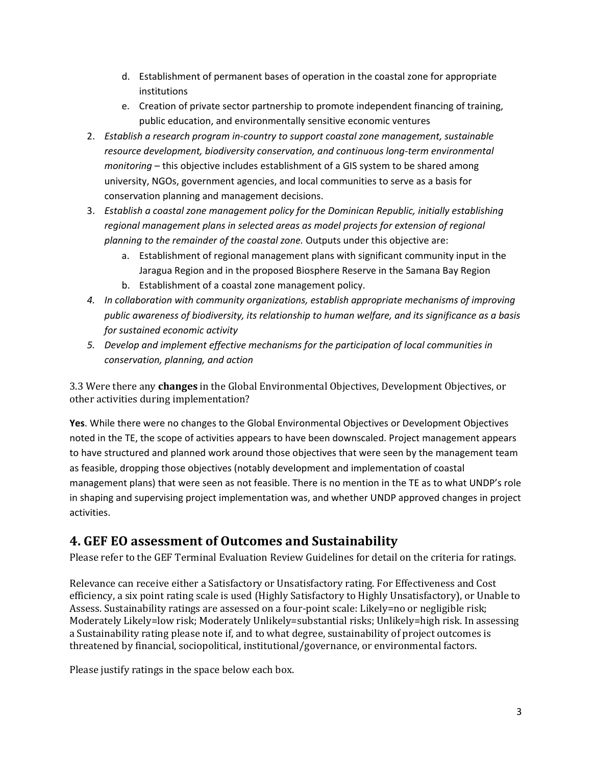- d. Establishment of permanent bases of operation in the coastal zone for appropriate institutions
- e. Creation of private sector partnership to promote independent financing of training, public education, and environmentally sensitive economic ventures
- 2. *Establish a research program in-country to support coastal zone management, sustainable resource development, biodiversity conservation, and continuous long-term environmental monitoring* – this objective includes establishment of a GIS system to be shared among university, NGOs, government agencies, and local communities to serve as a basis for conservation planning and management decisions.
- 3. *Establish a coastal zone management policy for the Dominican Republic, initially establishing regional management plans in selected areas as model projects for extension of regional planning to the remainder of the coastal zone.* Outputs under this objective are:
	- a. Establishment of regional management plans with significant community input in the Jaragua Region and in the proposed Biosphere Reserve in the Samana Bay Region
	- b. Establishment of a coastal zone management policy.
- *4. In collaboration with community organizations, establish appropriate mechanisms of improving public awareness of biodiversity, its relationship to human welfare, and its significance as a basis for sustained economic activity*
- *5. Develop and implement effective mechanisms for the participation of local communities in conservation, planning, and action*

3.3 Were there any **changes** in the Global Environmental Objectives, Development Objectives, or other activities during implementation?

**Yes**. While there were no changes to the Global Environmental Objectives or Development Objectives noted in the TE, the scope of activities appears to have been downscaled. Project management appears to have structured and planned work around those objectives that were seen by the management team as feasible, dropping those objectives (notably development and implementation of coastal management plans) that were seen as not feasible. There is no mention in the TE as to what UNDP's role in shaping and supervising project implementation was, and whether UNDP approved changes in project activities.

## **4. GEF EO assessment of Outcomes and Sustainability**

Please refer to the GEF Terminal Evaluation Review Guidelines for detail on the criteria for ratings.

Relevance can receive either a Satisfactory or Unsatisfactory rating. For Effectiveness and Cost efficiency, a six point rating scale is used (Highly Satisfactory to Highly Unsatisfactory), or Unable to Assess. Sustainability ratings are assessed on a four-point scale: Likely=no or negligible risk; Moderately Likely=low risk; Moderately Unlikely=substantial risks; Unlikely=high risk. In assessing a Sustainability rating please note if, and to what degree, sustainability of project outcomes is threatened by financial, sociopolitical, institutional/governance, or environmental factors.

Please justify ratings in the space below each box.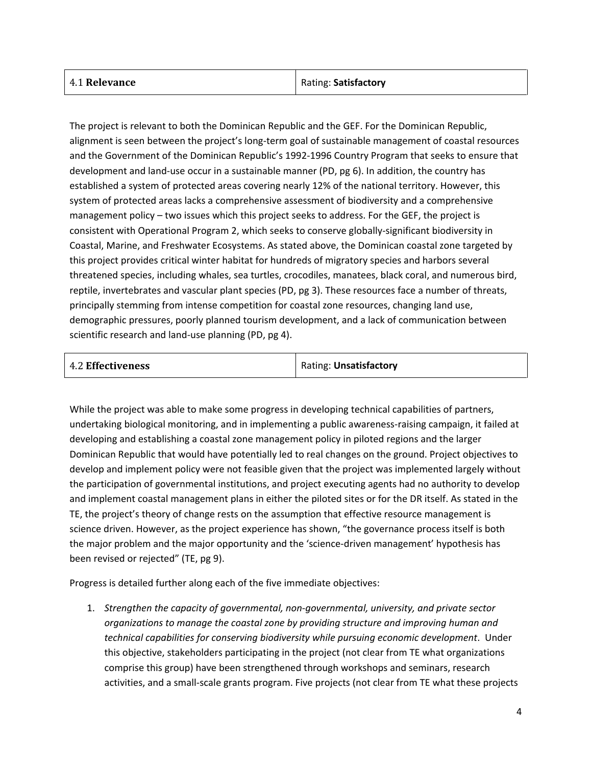| 4.1 Relevance | Rating: Satisfactory |
|---------------|----------------------|
|               |                      |

The project is relevant to both the Dominican Republic and the GEF. For the Dominican Republic, alignment is seen between the project's long-term goal of sustainable management of coastal resources and the Government of the Dominican Republic's 1992-1996 Country Program that seeks to ensure that development and land-use occur in a sustainable manner (PD, pg 6). In addition, the country has established a system of protected areas covering nearly 12% of the national territory. However, this system of protected areas lacks a comprehensive assessment of biodiversity and a comprehensive management policy – two issues which this project seeks to address. For the GEF, the project is consistent with Operational Program 2, which seeks to conserve globally-significant biodiversity in Coastal, Marine, and Freshwater Ecosystems. As stated above, the Dominican coastal zone targeted by this project provides critical winter habitat for hundreds of migratory species and harbors several threatened species, including whales, sea turtles, crocodiles, manatees, black coral, and numerous bird, reptile, invertebrates and vascular plant species (PD, pg 3). These resources face a number of threats, principally stemming from intense competition for coastal zone resources, changing land use, demographic pressures, poorly planned tourism development, and a lack of communication between scientific research and land-use planning (PD, pg 4).

| <b>4.2 Effectiveness</b> | Rating: Unsatisfactory |
|--------------------------|------------------------|
|                          |                        |

While the project was able to make some progress in developing technical capabilities of partners, undertaking biological monitoring, and in implementing a public awareness-raising campaign, it failed at developing and establishing a coastal zone management policy in piloted regions and the larger Dominican Republic that would have potentially led to real changes on the ground. Project objectives to develop and implement policy were not feasible given that the project was implemented largely without the participation of governmental institutions, and project executing agents had no authority to develop and implement coastal management plans in either the piloted sites or for the DR itself. As stated in the TE, the project's theory of change rests on the assumption that effective resource management is science driven. However, as the project experience has shown, "the governance process itself is both the major problem and the major opportunity and the 'science-driven management' hypothesis has been revised or rejected" (TE, pg 9).

Progress is detailed further along each of the five immediate objectives:

1. *Strengthen the capacity of governmental, non-governmental, university, and private sector organizations to manage the coastal zone by providing structure and improving human and technical capabilities for conserving biodiversity while pursuing economic development*. Under this objective, stakeholders participating in the project (not clear from TE what organizations comprise this group) have been strengthened through workshops and seminars, research activities, and a small-scale grants program. Five projects (not clear from TE what these projects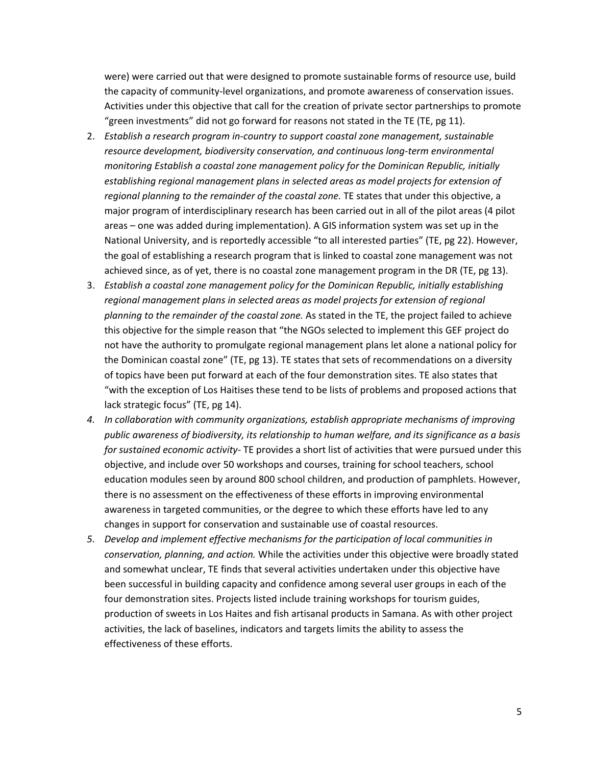were) were carried out that were designed to promote sustainable forms of resource use, build the capacity of community-level organizations, and promote awareness of conservation issues. Activities under this objective that call for the creation of private sector partnerships to promote "green investments" did not go forward for reasons not stated in the TE (TE, pg 11).

- 2. *Establish a research program in-country to support coastal zone management, sustainable resource development, biodiversity conservation, and continuous long-term environmental monitoring Establish a coastal zone management policy for the Dominican Republic, initially establishing regional management plans in selected areas as model projects for extension of regional planning to the remainder of the coastal zone.* TE states that under this objective, a major program of interdisciplinary research has been carried out in all of the pilot areas (4 pilot areas – one was added during implementation). A GIS information system was set up in the National University, and is reportedly accessible "to all interested parties" (TE, pg 22). However, the goal of establishing a research program that is linked to coastal zone management was not achieved since, as of yet, there is no coastal zone management program in the DR (TE, pg 13).
- 3. *Establish a coastal zone management policy for the Dominican Republic, initially establishing regional management plans in selected areas as model projects for extension of regional planning to the remainder of the coastal zone.* As stated in the TE, the project failed to achieve this objective for the simple reason that "the NGOs selected to implement this GEF project do not have the authority to promulgate regional management plans let alone a national policy for the Dominican coastal zone" (TE, pg 13). TE states that sets of recommendations on a diversity of topics have been put forward at each of the four demonstration sites. TE also states that "with the exception of Los Haitises these tend to be lists of problems and proposed actions that lack strategic focus" (TE, pg 14).
- *4. In collaboration with community organizations, establish appropriate mechanisms of improving public awareness of biodiversity, its relationship to human welfare, and its significance as a basis for sustained economic activity-* TE provides a short list of activities that were pursued under this objective, and include over 50 workshops and courses, training for school teachers, school education modules seen by around 800 school children, and production of pamphlets. However, there is no assessment on the effectiveness of these efforts in improving environmental awareness in targeted communities, or the degree to which these efforts have led to any changes in support for conservation and sustainable use of coastal resources.
- *5. Develop and implement effective mechanisms for the participation of local communities in conservation, planning, and action.* While the activities under this objective were broadly stated and somewhat unclear, TE finds that several activities undertaken under this objective have been successful in building capacity and confidence among several user groups in each of the four demonstration sites. Projects listed include training workshops for tourism guides, production of sweets in Los Haites and fish artisanal products in Samana. As with other project activities, the lack of baselines, indicators and targets limits the ability to assess the effectiveness of these efforts.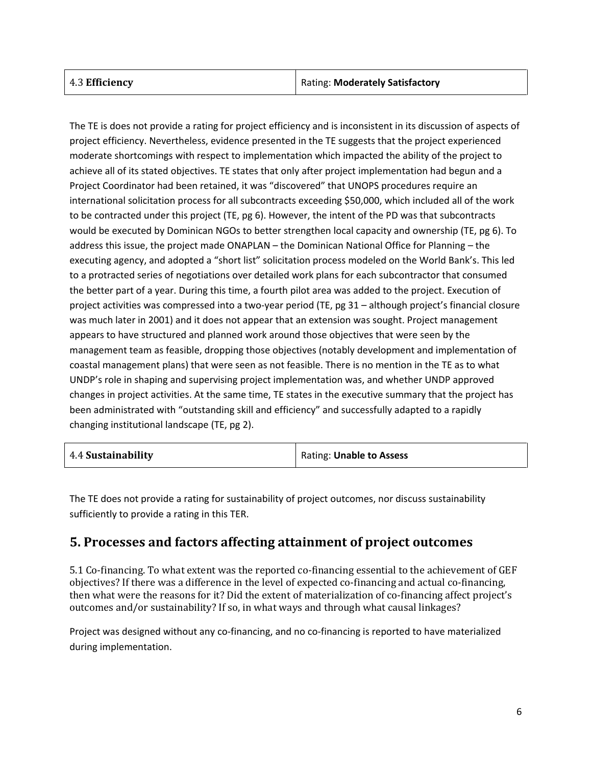| 4.3 Efficiency | Rating: Moderately Satisfactory |
|----------------|---------------------------------|
|----------------|---------------------------------|

The TE is does not provide a rating for project efficiency and is inconsistent in its discussion of aspects of project efficiency. Nevertheless, evidence presented in the TE suggests that the project experienced moderate shortcomings with respect to implementation which impacted the ability of the project to achieve all of its stated objectives. TE states that only after project implementation had begun and a Project Coordinator had been retained, it was "discovered" that UNOPS procedures require an international solicitation process for all subcontracts exceeding \$50,000, which included all of the work to be contracted under this project (TE, pg 6). However, the intent of the PD was that subcontracts would be executed by Dominican NGOs to better strengthen local capacity and ownership (TE, pg 6). To address this issue, the project made ONAPLAN – the Dominican National Office for Planning – the executing agency, and adopted a "short list" solicitation process modeled on the World Bank's. This led to a protracted series of negotiations over detailed work plans for each subcontractor that consumed the better part of a year. During this time, a fourth pilot area was added to the project. Execution of project activities was compressed into a two-year period (TE, pg 31 – although project's financial closure was much later in 2001) and it does not appear that an extension was sought. Project management appears to have structured and planned work around those objectives that were seen by the management team as feasible, dropping those objectives (notably development and implementation of coastal management plans) that were seen as not feasible. There is no mention in the TE as to what UNDP's role in shaping and supervising project implementation was, and whether UNDP approved changes in project activities. At the same time, TE states in the executive summary that the project has been administrated with "outstanding skill and efficiency" and successfully adapted to a rapidly changing institutional landscape (TE, pg 2).

| 4.4 Sustainability | Rating: Unable to Assess |
|--------------------|--------------------------|
|--------------------|--------------------------|

The TE does not provide a rating for sustainability of project outcomes, nor discuss sustainability sufficiently to provide a rating in this TER.

#### **5. Processes and factors affecting attainment of project outcomes**

5.1 Co-financing. To what extent was the reported co-financing essential to the achievement of GEF objectives? If there was a difference in the level of expected co-financing and actual co-financing, then what were the reasons for it? Did the extent of materialization of co-financing affect project's outcomes and/or sustainability? If so, in what ways and through what causal linkages?

Project was designed without any co-financing, and no co-financing is reported to have materialized during implementation.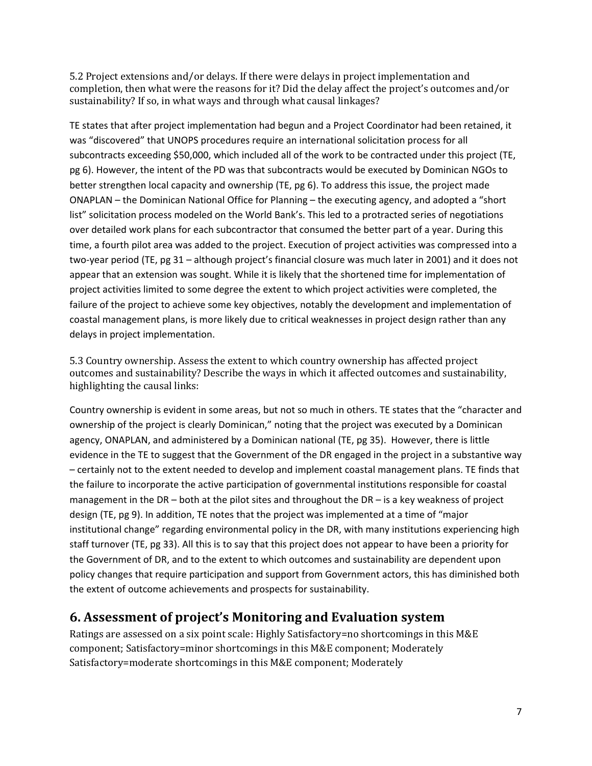5.2 Project extensions and/or delays. If there were delays in project implementation and completion, then what were the reasons for it? Did the delay affect the project's outcomes and/or sustainability? If so, in what ways and through what causal linkages?

TE states that after project implementation had begun and a Project Coordinator had been retained, it was "discovered" that UNOPS procedures require an international solicitation process for all subcontracts exceeding \$50,000, which included all of the work to be contracted under this project (TE, pg 6). However, the intent of the PD was that subcontracts would be executed by Dominican NGOs to better strengthen local capacity and ownership (TE, pg 6). To address this issue, the project made ONAPLAN – the Dominican National Office for Planning – the executing agency, and adopted a "short list" solicitation process modeled on the World Bank's. This led to a protracted series of negotiations over detailed work plans for each subcontractor that consumed the better part of a year. During this time, a fourth pilot area was added to the project. Execution of project activities was compressed into a two-year period (TE, pg 31 – although project's financial closure was much later in 2001) and it does not appear that an extension was sought. While it is likely that the shortened time for implementation of project activities limited to some degree the extent to which project activities were completed, the failure of the project to achieve some key objectives, notably the development and implementation of coastal management plans, is more likely due to critical weaknesses in project design rather than any delays in project implementation.

5.3 Country ownership. Assess the extent to which country ownership has affected project outcomes and sustainability? Describe the ways in which it affected outcomes and sustainability, highlighting the causal links:

Country ownership is evident in some areas, but not so much in others. TE states that the "character and ownership of the project is clearly Dominican," noting that the project was executed by a Dominican agency, ONAPLAN, and administered by a Dominican national (TE, pg 35). However, there is little evidence in the TE to suggest that the Government of the DR engaged in the project in a substantive way – certainly not to the extent needed to develop and implement coastal management plans. TE finds that the failure to incorporate the active participation of governmental institutions responsible for coastal management in the DR – both at the pilot sites and throughout the DR – is a key weakness of project design (TE, pg 9). In addition, TE notes that the project was implemented at a time of "major institutional change" regarding environmental policy in the DR, with many institutions experiencing high staff turnover (TE, pg 33). All this is to say that this project does not appear to have been a priority for the Government of DR, and to the extent to which outcomes and sustainability are dependent upon policy changes that require participation and support from Government actors, this has diminished both the extent of outcome achievements and prospects for sustainability.

## **6. Assessment of project's Monitoring and Evaluation system**

Ratings are assessed on a six point scale: Highly Satisfactory=no shortcomings in this M&E component; Satisfactory=minor shortcomings in this M&E component; Moderately Satisfactory=moderate shortcomings in this M&E component; Moderately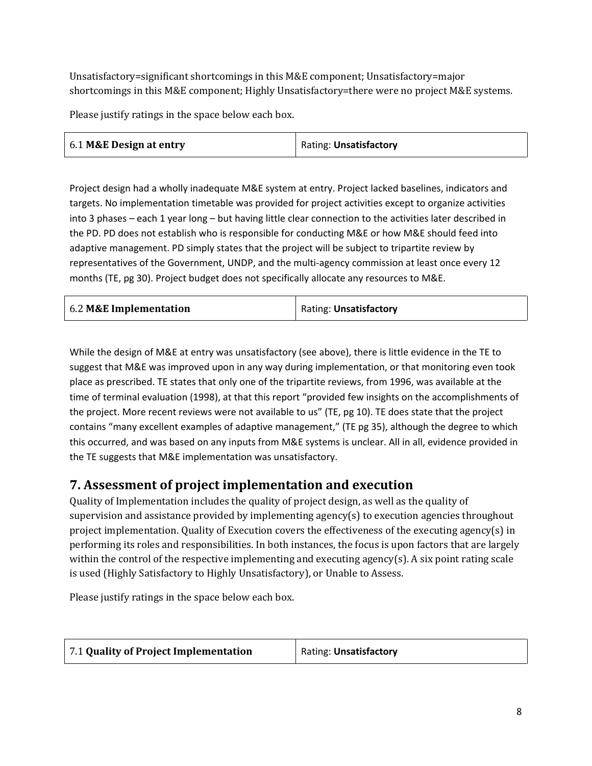Unsatisfactory=significant shortcomings in this M&E component; Unsatisfactory=major shortcomings in this M&E component; Highly Unsatisfactory=there were no project M&E systems.

Please justify ratings in the space below each box.

| 6.1 M&E Design at entry | Rating: Unsatisfactory |
|-------------------------|------------------------|
|-------------------------|------------------------|

Project design had a wholly inadequate M&E system at entry. Project lacked baselines, indicators and targets. No implementation timetable was provided for project activities except to organize activities into 3 phases – each 1 year long – but having little clear connection to the activities later described in the PD. PD does not establish who is responsible for conducting M&E or how M&E should feed into adaptive management. PD simply states that the project will be subject to tripartite review by representatives of the Government, UNDP, and the multi-agency commission at least once every 12 months (TE, pg 30). Project budget does not specifically allocate any resources to M&E.

| 6.2 M&E Implementation | Rating: Unsatisfactory |
|------------------------|------------------------|
|                        |                        |

While the design of M&E at entry was unsatisfactory (see above), there is little evidence in the TE to suggest that M&E was improved upon in any way during implementation, or that monitoring even took place as prescribed. TE states that only one of the tripartite reviews, from 1996, was available at the time of terminal evaluation (1998), at that this report "provided few insights on the accomplishments of the project. More recent reviews were not available to us" (TE, pg 10). TE does state that the project contains "many excellent examples of adaptive management," (TE pg 35), although the degree to which this occurred, and was based on any inputs from M&E systems is unclear. All in all, evidence provided in the TE suggests that M&E implementation was unsatisfactory.

## **7. Assessment of project implementation and execution**

Quality of Implementation includes the quality of project design, as well as the quality of supervision and assistance provided by implementing agency(s) to execution agencies throughout project implementation. Quality of Execution covers the effectiveness of the executing agency(s) in performing its roles and responsibilities. In both instances, the focus is upon factors that are largely within the control of the respective implementing and executing agency(s). A six point rating scale is used (Highly Satisfactory to Highly Unsatisfactory), or Unable to Assess.

Please justify ratings in the space below each box.

| Rating: Unsatisfactory |
|------------------------|
|                        |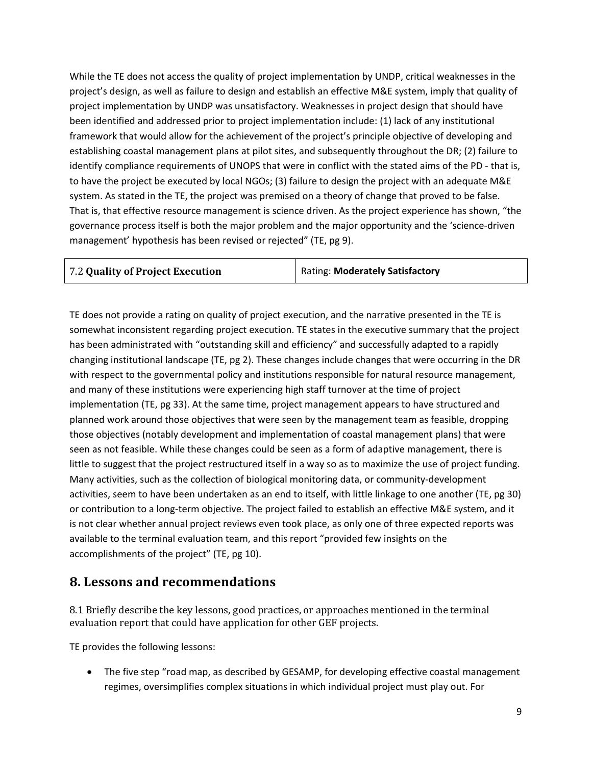While the TE does not access the quality of project implementation by UNDP, critical weaknesses in the project's design, as well as failure to design and establish an effective M&E system, imply that quality of project implementation by UNDP was unsatisfactory. Weaknesses in project design that should have been identified and addressed prior to project implementation include: (1) lack of any institutional framework that would allow for the achievement of the project's principle objective of developing and establishing coastal management plans at pilot sites, and subsequently throughout the DR; (2) failure to identify compliance requirements of UNOPS that were in conflict with the stated aims of the PD - that is, to have the project be executed by local NGOs; (3) failure to design the project with an adequate M&E system. As stated in the TE, the project was premised on a theory of change that proved to be false. That is, that effective resource management is science driven. As the project experience has shown, "the governance process itself is both the major problem and the major opportunity and the 'science-driven management' hypothesis has been revised or rejected" (TE, pg 9).

| 7.2 Quality of Project Execution | <b>Rating: Moderately Satisfactory</b> |
|----------------------------------|----------------------------------------|
|----------------------------------|----------------------------------------|

TE does not provide a rating on quality of project execution, and the narrative presented in the TE is somewhat inconsistent regarding project execution. TE states in the executive summary that the project has been administrated with "outstanding skill and efficiency" and successfully adapted to a rapidly changing institutional landscape (TE, pg 2). These changes include changes that were occurring in the DR with respect to the governmental policy and institutions responsible for natural resource management, and many of these institutions were experiencing high staff turnover at the time of project implementation (TE, pg 33). At the same time, project management appears to have structured and planned work around those objectives that were seen by the management team as feasible, dropping those objectives (notably development and implementation of coastal management plans) that were seen as not feasible. While these changes could be seen as a form of adaptive management, there is little to suggest that the project restructured itself in a way so as to maximize the use of project funding. Many activities, such as the collection of biological monitoring data, or community-development activities, seem to have been undertaken as an end to itself, with little linkage to one another (TE, pg 30) or contribution to a long-term objective. The project failed to establish an effective M&E system, and it is not clear whether annual project reviews even took place, as only one of three expected reports was available to the terminal evaluation team, and this report "provided few insights on the accomplishments of the project" (TE, pg 10).

### **8. Lessons and recommendations**

8.1 Briefly describe the key lessons, good practices, or approaches mentioned in the terminal evaluation report that could have application for other GEF projects.

TE provides the following lessons:

• The five step "road map, as described by GESAMP, for developing effective coastal management regimes, oversimplifies complex situations in which individual project must play out. For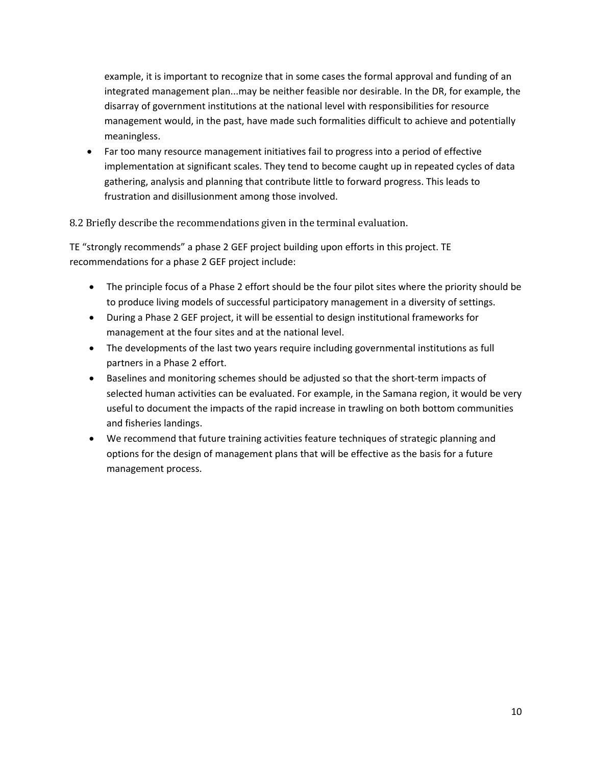example, it is important to recognize that in some cases the formal approval and funding of an integrated management plan...may be neither feasible nor desirable. In the DR, for example, the disarray of government institutions at the national level with responsibilities for resource management would, in the past, have made such formalities difficult to achieve and potentially meaningless.

• Far too many resource management initiatives fail to progress into a period of effective implementation at significant scales. They tend to become caught up in repeated cycles of data gathering, analysis and planning that contribute little to forward progress. This leads to frustration and disillusionment among those involved.

8.2 Briefly describe the recommendations given in the terminal evaluation.

TE "strongly recommends" a phase 2 GEF project building upon efforts in this project. TE recommendations for a phase 2 GEF project include:

- The principle focus of a Phase 2 effort should be the four pilot sites where the priority should be to produce living models of successful participatory management in a diversity of settings.
- During a Phase 2 GEF project, it will be essential to design institutional frameworks for management at the four sites and at the national level.
- The developments of the last two years require including governmental institutions as full partners in a Phase 2 effort.
- Baselines and monitoring schemes should be adjusted so that the short-term impacts of selected human activities can be evaluated. For example, in the Samana region, it would be very useful to document the impacts of the rapid increase in trawling on both bottom communities and fisheries landings.
- We recommend that future training activities feature techniques of strategic planning and options for the design of management plans that will be effective as the basis for a future management process.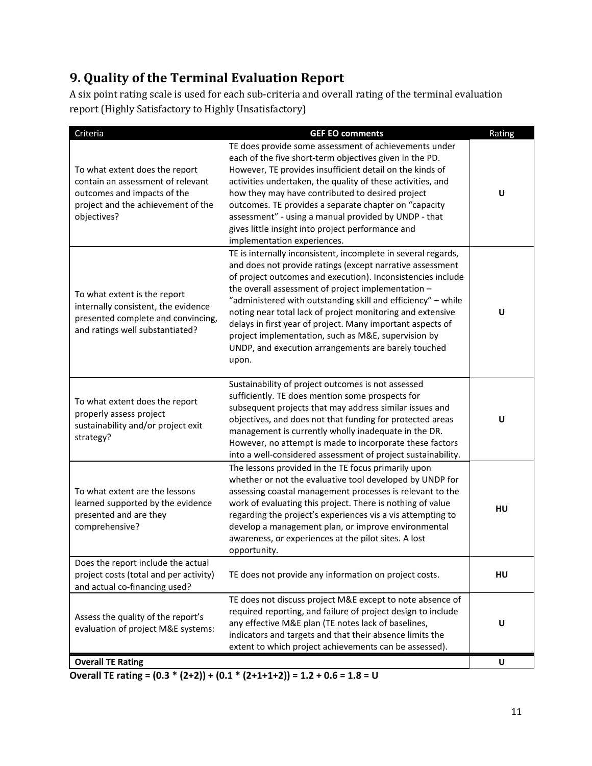# **9. Quality of the Terminal Evaluation Report**

A six point rating scale is used for each sub-criteria and overall rating of the terminal evaluation report (Highly Satisfactory to Highly Unsatisfactory)

| Criteria                                                                                                                                                | <b>GEF EO comments</b>                                                                                                                                                                                                                                                                                                                                                                                                                                                                                                                                             | Rating |
|---------------------------------------------------------------------------------------------------------------------------------------------------------|--------------------------------------------------------------------------------------------------------------------------------------------------------------------------------------------------------------------------------------------------------------------------------------------------------------------------------------------------------------------------------------------------------------------------------------------------------------------------------------------------------------------------------------------------------------------|--------|
| To what extent does the report<br>contain an assessment of relevant<br>outcomes and impacts of the<br>project and the achievement of the<br>objectives? | TE does provide some assessment of achievements under<br>each of the five short-term objectives given in the PD.<br>However, TE provides insufficient detail on the kinds of<br>activities undertaken, the quality of these activities, and<br>how they may have contributed to desired project<br>outcomes. TE provides a separate chapter on "capacity<br>assessment" - using a manual provided by UNDP - that<br>gives little insight into project performance and<br>implementation experiences.                                                               | U      |
| To what extent is the report<br>internally consistent, the evidence<br>presented complete and convincing,<br>and ratings well substantiated?            | TE is internally inconsistent, incomplete in several regards,<br>and does not provide ratings (except narrative assessment<br>of project outcomes and execution). Inconsistencies include<br>the overall assessment of project implementation -<br>"administered with outstanding skill and efficiency" - while<br>noting near total lack of project monitoring and extensive<br>delays in first year of project. Many important aspects of<br>project implementation, such as M&E, supervision by<br>UNDP, and execution arrangements are barely touched<br>upon. | U      |
| To what extent does the report<br>properly assess project<br>sustainability and/or project exit<br>strategy?                                            | Sustainability of project outcomes is not assessed<br>sufficiently. TE does mention some prospects for<br>subsequent projects that may address similar issues and<br>objectives, and does not that funding for protected areas<br>management is currently wholly inadequate in the DR.<br>However, no attempt is made to incorporate these factors<br>into a well-considered assessment of project sustainability.                                                                                                                                                 | U      |
| To what extent are the lessons<br>learned supported by the evidence<br>presented and are they<br>comprehensive?                                         | The lessons provided in the TE focus primarily upon<br>whether or not the evaluative tool developed by UNDP for<br>assessing coastal management processes is relevant to the<br>work of evaluating this project. There is nothing of value<br>regarding the project's experiences vis a vis attempting to<br>develop a management plan, or improve environmental<br>awareness, or experiences at the pilot sites. A lost<br>opportunity.                                                                                                                           | HU     |
| Does the report include the actual<br>project costs (total and per activity)<br>and actual co-financing used?                                           | TE does not provide any information on project costs.                                                                                                                                                                                                                                                                                                                                                                                                                                                                                                              | HU     |
| Assess the quality of the report's<br>evaluation of project M&E systems:                                                                                | TE does not discuss project M&E except to note absence of<br>required reporting, and failure of project design to include<br>any effective M&E plan (TE notes lack of baselines,<br>indicators and targets and that their absence limits the<br>extent to which project achievements can be assessed).                                                                                                                                                                                                                                                             | U      |
| <b>Overall TE Rating</b>                                                                                                                                |                                                                                                                                                                                                                                                                                                                                                                                                                                                                                                                                                                    | U      |

**Overall TE rating = (0.3 \* (2+2)) + (0.1 \* (2+1+1+2)) = 1.2 + 0.6 = 1.8 = U**